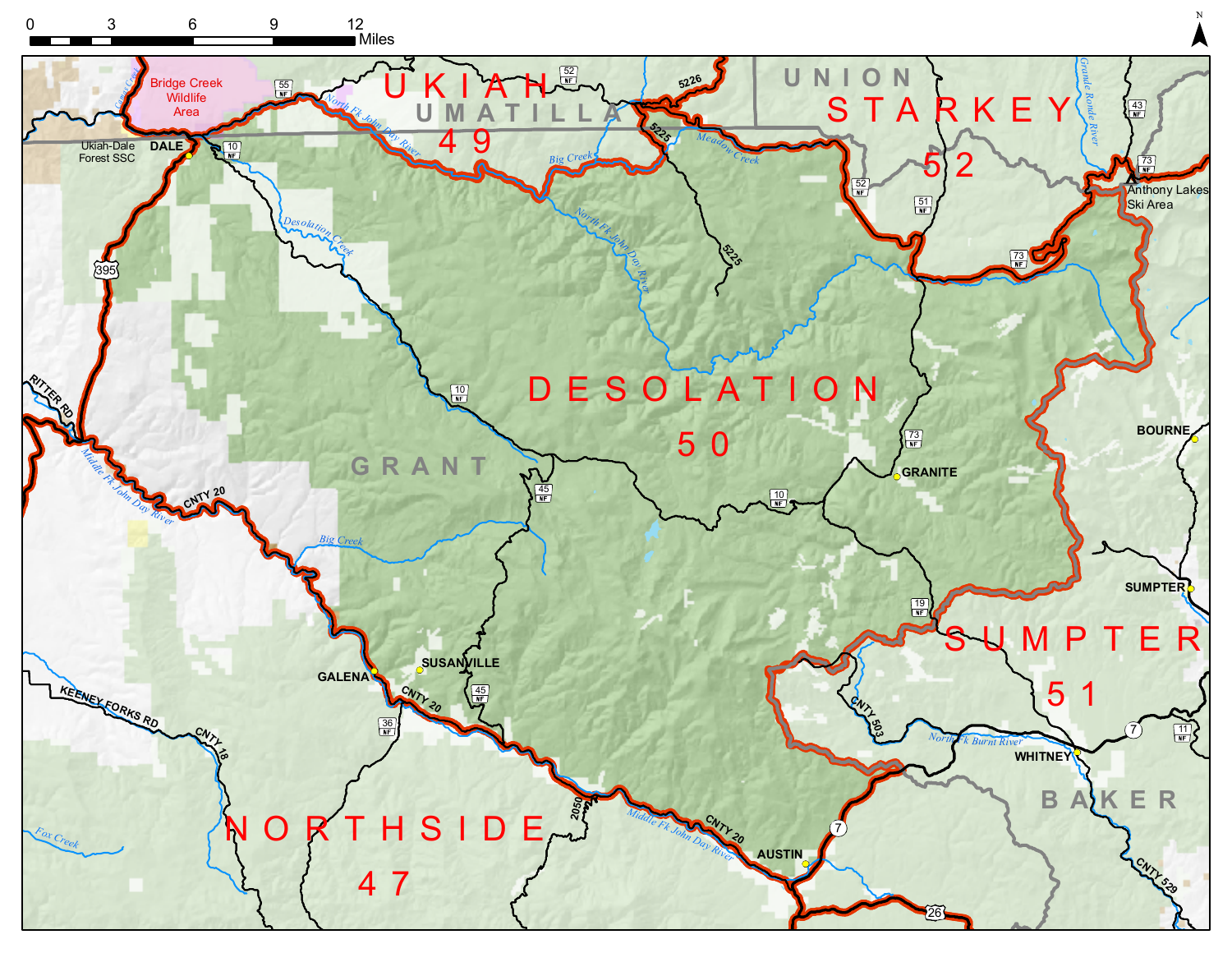